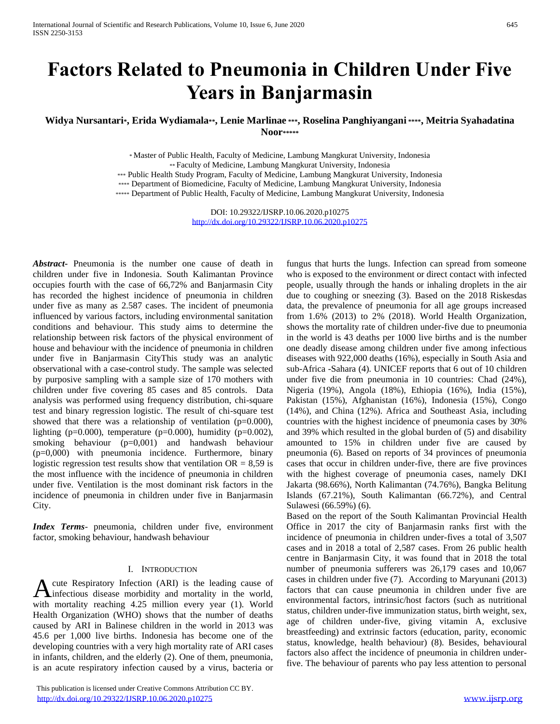# **Factors Related to Pneumonia in Children Under Five Years in Banjarmasin**

**Widya Nursantari\*, Erida Wydiamala\*\*, Lenie Marlinae \*\*\*, Roselina Panghiyangani \*\*\*\*, Meitria Syahadatina Noor\*\*\*\*\***

> \* Master of Public Health, Faculty of Medicine, Lambung Mangkurat University, Indonesia \*\* Faculty of Medicine, Lambung Mangkurat University, Indonesia

\*\*\* Public Health Study Program, Faculty of Medicine, Lambung Mangkurat University, Indonesia

\*\*\*\* Department of Biomedicine, Faculty of Medicine, Lambung Mangkurat University, Indonesia

\*\*\*\*\* Department of Public Health, Faculty of Medicine, Lambung Mangkurat University, Indonesia

DOI: 10.29322/IJSRP.10.06.2020.p10275 <http://dx.doi.org/10.29322/IJSRP.10.06.2020.p10275>

*Abstract***-** Pneumonia is the number one cause of death in children under five in Indonesia. South Kalimantan Province occupies fourth with the case of 66,72% and Banjarmasin City has recorded the highest incidence of pneumonia in children under five as many as 2.587 cases. The incident of pneumonia influenced by various factors, including environmental sanitation conditions and behaviour. This study aims to determine the relationship between risk factors of the physical environment of house and behaviour with the incidence of pneumonia in children under five in Banjarmasin CityThis study was an analytic observational with a case-control study. The sample was selected by purposive sampling with a sample size of 170 mothers with children under five covering 85 cases and 85 controls. Data analysis was performed using frequency distribution, chi-square test and binary regression logistic. The result of chi-square test showed that there was a relationship of ventilation  $(p=0.000)$ , lighting ( $p=0.000$ ), temperature ( $p=0.000$ ), humidity ( $p=0.002$ ), smoking behaviour (p=0,001) and handwash behaviour (p=0,000) with pneumonia incidence. Furthermore, binary logistic regression test results show that ventilation  $OR = 8,59$  is the most influence with the incidence of pneumonia in children under five. Ventilation is the most dominant risk factors in the incidence of pneumonia in children under five in Banjarmasin City.

*Index Terms*- pneumonia, children under five, environment factor, smoking behaviour, handwash behaviour

### I. INTRODUCTION

cute Respiratory Infection (ARI) is the leading cause of A cute Respiratory Infection (ARI) is the leading cause of infectious disease morbidity and mortality in the world, with mortality reaching 4.25 million every year (1). World Health Organization (WHO) shows that the number of deaths caused by ARI in Balinese children in the world in 2013 was 45.6 per 1,000 live births. Indonesia has become one of the developing countries with a very high mortality rate of ARI cases in infants, children, and the elderly (2). One of them, pneumonia, is an acute respiratory infection caused by a virus, bacteria or

 This publication is licensed under Creative Commons Attribution CC BY. <http://dx.doi.org/10.29322/IJSRP.10.06.2020.p10275> [www.ijsrp.org](http://ijsrp.org/)

fungus that hurts the lungs. Infection can spread from someone who is exposed to the environment or direct contact with infected people, usually through the hands or inhaling droplets in the air due to coughing or sneezing (3). Based on the 2018 Riskesdas data, the prevalence of pneumonia for all age groups increased from 1.6% (2013) to 2% (2018). World Health Organization, shows the mortality rate of children under-five due to pneumonia in the world is 43 deaths per 1000 live births and is the number one deadly disease among children under five among infectious diseases with 922,000 deaths (16%), especially in South Asia and sub-Africa -Sahara (4). UNICEF reports that 6 out of 10 children under five die from pneumonia in 10 countries: Chad (24%), Nigeria (19%), Angola (18%), Ethiopia (16%), India (15%), Pakistan (15%), Afghanistan (16%), Indonesia (15%), Congo (14%), and China (12%). Africa and Southeast Asia, including countries with the highest incidence of pneumonia cases by 30% and 39% which resulted in the global burden of (5) and disability amounted to 15% in children under five are caused by pneumonia (6). Based on reports of 34 provinces of pneumonia cases that occur in children under-five, there are five provinces with the highest coverage of pneumonia cases, namely DKI Jakarta (98.66%), North Kalimantan (74.76%), Bangka Belitung Islands (67.21%), South Kalimantan (66.72%), and Central Sulawesi (66.59%) (6).

Based on the report of the South Kalimantan Provincial Health Office in 2017 the city of Banjarmasin ranks first with the incidence of pneumonia in children under-fives a total of 3,507 cases and in 2018 a total of 2,587 cases. From 26 public health centre in Banjarmasin City, it was found that in 2018 the total number of pneumonia sufferers was 26,179 cases and 10,067 cases in children under five (7). According to Maryunani (2013) factors that can cause pneumonia in children under five are environmental factors, intrinsic/host factors (such as nutritional status, children under-five immunization status, birth weight, sex, age of children under-five, giving vitamin A, exclusive breastfeeding) and extrinsic factors (education, parity, economic status, knowledge, health behaviour) (8). Besides, behavioural factors also affect the incidence of pneumonia in children underfive. The behaviour of parents who pay less attention to personal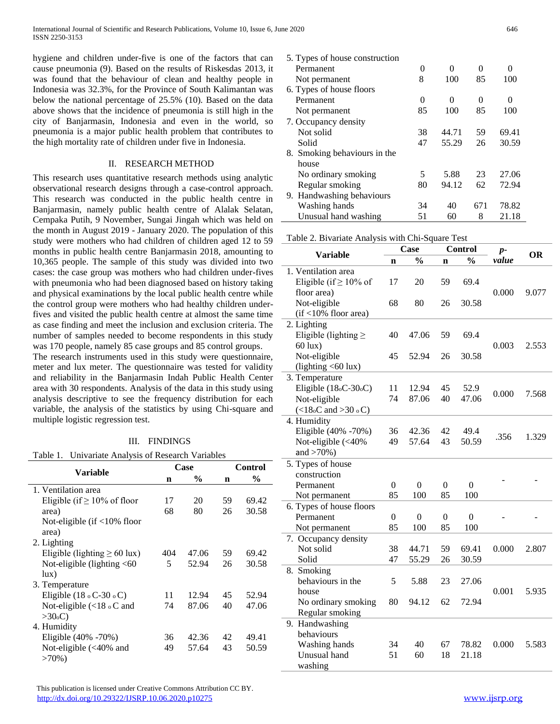hygiene and children under-five is one of the factors that can cause pneumonia (9). Based on the results of Riskesdas 2013, it was found that the behaviour of clean and healthy people in Indonesia was 32.3%, for the Province of South Kalimantan was below the national percentage of 25.5% (10). Based on the data above shows that the incidence of pneumonia is still high in the city of Banjarmasin, Indonesia and even in the world, so pneumonia is a major public health problem that contributes to the high mortality rate of children under five in Indonesia.

## II. RESEARCH METHOD

This research uses quantitative research methods using analytic observational research designs through a case-control approach. This research was conducted in the public health centre in Banjarmasin, namely public health centre of Alalak Selatan, Cempaka Putih, 9 November, Sungai Jingah which was held on the month in August 2019 - January 2020. The population of this study were mothers who had children of children aged 12 to 59 months in public health centre Banjarmasin 2018, amounting to 10,365 people. The sample of this study was divided into two cases: the case group was mothers who had children under-fives with pneumonia who had been diagnosed based on history taking and physical examinations by the local public health centre while the control group were mothers who had healthy children underfives and visited the public health centre at almost the same time as case finding and meet the inclusion and exclusion criteria. The number of samples needed to become respondents in this study was 170 people, namely 85 case groups and 85 control groups.

The research instruments used in this study were questionnaire, meter and lux meter. The questionnaire was tested for validity and reliability in the Banjarmasin Indah Public Health Center area with 30 respondents. Analysis of the data in this study using analysis descriptive to see the frequency distribution for each variable, the analysis of the statistics by using Chi-square and multiple logistic regression test.

# III. FINDINGS

| Table 1. Univariate Analysis of Research Variables |  |  |  |  |  |
|----------------------------------------------------|--|--|--|--|--|
|----------------------------------------------------|--|--|--|--|--|

| Variable                                 |     | Case          | Control |               |
|------------------------------------------|-----|---------------|---------|---------------|
|                                          | n   | $\frac{0}{0}$ | n       | $\frac{0}{0}$ |
| 1. Ventilation area                      |     |               |         |               |
| Eligible (if $\geq 10\%$ of floor        | 17  | 20            | 59      | 69.42         |
| area)                                    | 68  | 80            | 26      | 30.58         |
| Not-eligible (if <10% floor              |     |               |         |               |
| area)                                    |     |               |         |               |
| 2. Lighting                              |     |               |         |               |
| Eligible (lighting $\geq 60$ lux)        | 404 | 47.06         | 59      | 69.42         |
| Not-eligible (lighting $<$ 60            | 5   | 52.94         | 26      | 30.58         |
| lux)                                     |     |               |         |               |
| 3. Temperature                           |     |               |         |               |
| Eligible $(18 \circ C - 30 \circ C)$     | 11  | 12.94         | 45      | 52.94         |
| Not-eligible $\langle$ <18 $\circ$ C and | 74  | 87.06         | 40      | 47.06         |
| >30 <sub>o</sub> C                       |     |               |         |               |
| 4. Humidity                              |     |               |         |               |
| Eligible (40% -70%)                      | 36  | 42.36         | 42      | 49.41         |
| Not-eligible $\left( < 40\% \right)$ and | 49  | 57.64         | 43      | 50.59         |
| $>70\%$ )                                |     |               |         |               |
|                                          |     |               |         |               |

| 5. Types of house construction |          |       |     |       |
|--------------------------------|----------|-------|-----|-------|
| Permanent                      | $^{(1)}$ | 0     | 0   | 0     |
| Not permanent                  | 8        | 100   | 85  | 100   |
| 6. Types of house floors       |          |       |     |       |
| Permanent                      | 0        | 0     | 0   | 0     |
| Not permanent                  | 85       | 100   | 85  | 100   |
| 7. Occupancy density           |          |       |     |       |
| Not solid                      | 38       | 44.71 | 59  | 69.41 |
| Solid                          | 47       | 55.29 | 26  | 30.59 |
| 8. Smoking behaviours in the   |          |       |     |       |
| house                          |          |       |     |       |
| No ordinary smoking            | 5        | 5.88  | 23  | 27.06 |
| Regular smoking                | 80       | 94.12 | 62  | 72.94 |
| 9. Handwashing behaviours      |          |       |     |       |
| Washing hands                  | 34       | 40    | 671 | 78.82 |
| Unusual hand washing           | 51       | 60    | 8   | 21.18 |

|  |  | Table 2. Bivariate Analysis with Chi-Square Test |  |
|--|--|--------------------------------------------------|--|

| <b>Variable</b>                        |                  | Case             |                  | <b>Control</b>   | $p-$  | <b>OR</b> |
|----------------------------------------|------------------|------------------|------------------|------------------|-------|-----------|
|                                        | $\mathbf n$      | $\frac{0}{0}$    | n                | $\frac{0}{0}$    | value |           |
| 1. Ventilation area                    |                  |                  |                  |                  |       |           |
| Eligible (if $\geq 10\%$ of            | 17               | 20               | 59               | 69.4             |       |           |
| floor area)                            |                  |                  |                  |                  | 0.000 | 9.077     |
| Not-eligible                           | 68               | 80               | 26               | 30.58            |       |           |
| (if <10% floor area)                   |                  |                  |                  |                  |       |           |
| 2. Lighting                            |                  |                  |                  |                  |       |           |
| Eligible (lighting $\geq$              | 40               | 47.06            | 59               | 69.4             |       |           |
| $60$ lux)                              |                  |                  |                  |                  | 0.003 | 2.553     |
| Not-eligible                           | 45               | 52.94            | 26               | 30.58            |       |           |
| $(lightlying < 60 \text{ lux})$        |                  |                  |                  |                  |       |           |
| 3. Temperature                         |                  |                  |                  |                  |       |           |
| Eligible $(18\text{e}C - 30\text{e}C)$ | 11               | 12.94            | 45               | 52.9             |       |           |
| Not-eligible                           | 74               | 87.06            | 40               | 47.06            | 0.000 | 7.568     |
| $(<18\degree C$ and $>30\degree C$ )   |                  |                  |                  |                  |       |           |
| 4. Humidity                            |                  |                  |                  |                  |       |           |
| Eligible (40% -70%)                    | 36               | 42.36            | 42               | 49.4             |       | 1.329     |
| Not-eligible (<40%                     | 49               | 57.64            | 43               | 50.59            | .356  |           |
| and $>70%$ )                           |                  |                  |                  |                  |       |           |
| 5. Types of house                      |                  |                  |                  |                  |       |           |
| construction                           |                  |                  |                  |                  |       |           |
| Permanent                              | $\overline{0}$   | $\overline{0}$   | $\theta$         | $\overline{0}$   |       |           |
| Not permanent                          | 85               | 100              | 85               | 100              |       |           |
| 6. Types of house floors               |                  |                  |                  |                  |       |           |
| Permanent                              | $\boldsymbol{0}$ | $\boldsymbol{0}$ | $\boldsymbol{0}$ | $\boldsymbol{0}$ |       |           |
| Not permanent                          | 85               | 100              | 85               | 100              |       |           |
| 7. Occupancy density                   |                  |                  |                  |                  |       |           |
| Not solid                              | 38               | 44.71            | 59               | 69.41            | 0.000 | 2.807     |
| Solid                                  | 47               | 55.29            | 26               | 30.59            |       |           |
| 8. Smoking                             |                  |                  |                  |                  |       |           |
| behaviours in the                      | 5                | 5.88             | 23               | 27.06            |       |           |
| house                                  |                  |                  |                  |                  | 0.001 | 5.935     |
| No ordinary smoking                    | 80               | 94.12            | 62               | 72.94            |       |           |
| Regular smoking                        |                  |                  |                  |                  |       |           |
| 9. Handwashing                         |                  |                  |                  |                  |       |           |
| behaviours                             |                  |                  |                  |                  |       |           |
| Washing hands                          | 34               | 40               | 67               | 78.82            | 0.000 | 5.583     |
| Unusual hand                           | 51               | 60               | 18               | 21.18            |       |           |
| washing                                |                  |                  |                  |                  |       |           |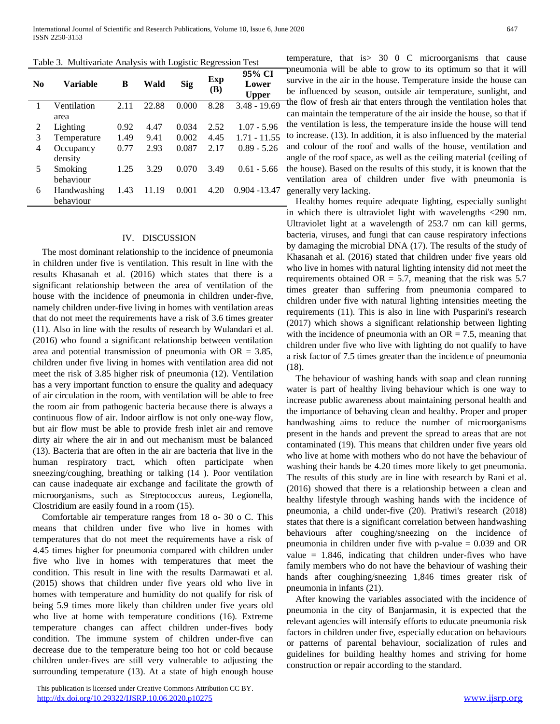Table 3. Multivariate Analysis with Logistic Regression Test

| N <sub>0</sub> | Variable                 | B    | Wald  | <b>Sig</b> | Exp<br>(B) | 95% CI<br>Lower<br><b>Upper</b> |
|----------------|--------------------------|------|-------|------------|------------|---------------------------------|
|                | Ventilation              | 2.11 | 22.88 | 0.000      | 8.28       | $3.48 - 19.69$                  |
|                | area                     |      |       |            |            |                                 |
| 2              | Lighting                 | 0.92 | 4.47  | 0.034      | 2.52       | $1.07 - 5.96$                   |
| 3              | Temperature              | 1.49 | 9.41  | 0.002      | 4.45       | $1.71 - 11.55$                  |
| 4              | Occupancy<br>density     | 0.77 | 2.93  | 0.087      | 2.17       | $0.89 - 5.26$                   |
| 5              | Smoking<br>behaviour     | 1.25 | 3.29  | 0.070      | 3.49       | $0.61 - 5.66$                   |
| 6              | Handwashing<br>behaviour | 1.43 | 11.19 | 0.001      | 4.20       | $0.904 - 13.47$                 |

#### IV. DISCUSSION

The most dominant relationship to the incidence of pneumonia in children under five is ventilation. This result in line with the results Khasanah et al. (2016) which states that there is a significant relationship between the area of ventilation of the house with the incidence of pneumonia in children under-five, namely children under-five living in homes with ventilation areas that do not meet the requirements have a risk of 3.6 times greater (11). Also in line with the results of research by Wulandari et al. (2016) who found a significant relationship between ventilation area and potential transmission of pneumonia with  $OR = 3.85$ , children under five living in homes with ventilation area did not meet the risk of 3.85 higher risk of pneumonia (12). Ventilation has a very important function to ensure the quality and adequacy of air circulation in the room, with ventilation will be able to free the room air from pathogenic bacteria because there is always a continuous flow of air. Indoor airflow is not only one-way flow, but air flow must be able to provide fresh inlet air and remove dirty air where the air in and out mechanism must be balanced (13). Bacteria that are often in the air are bacteria that live in the human respiratory tract, which often participate when sneezing/coughing, breathing or talking (14 ). Poor ventilation can cause inadequate air exchange and facilitate the growth of microorganisms, such as Streptococcus aureus, Legionella, Clostridium are easily found in a room (15).

Comfortable air temperature ranges from 18 o- 30 o C. This means that children under five who live in homes with temperatures that do not meet the requirements have a risk of 4.45 times higher for pneumonia compared with children under five who live in homes with temperatures that meet the condition. This result in line with the results Darmawati et al. (2015) shows that children under five years old who live in homes with temperature and humidity do not qualify for risk of being 5.9 times more likely than children under five years old who live at home with temperature conditions (16). Extreme temperature changes can affect children under-fives body condition. The immune system of children under-five can decrease due to the temperature being too hot or cold because children under-fives are still very vulnerable to adjusting the surrounding temperature (13). At a state of high enough house

temperature, that is> 30 0 C microorganisms that cause pneumonia will be able to grow to its optimum so that it will survive in the air in the house. Temperature inside the house can be influenced by season, outside air temperature, sunlight, and the flow of fresh air that enters through the ventilation holes that can maintain the temperature of the air inside the house, so that if the ventilation is less, the temperature inside the house will tend to increase. (13). In addition, it is also influenced by the material and colour of the roof and walls of the house, ventilation and angle of the roof space, as well as the ceiling material (ceiling of the house). Based on the results of this study, it is known that the ventilation area of children under five with pneumonia is generally very lacking.

Healthy homes require adequate lighting, especially sunlight in which there is ultraviolet light with wavelengths <290 nm. Ultraviolet light at a wavelength of 253.7 nm can kill germs, bacteria, viruses, and fungi that can cause respiratory infections by damaging the microbial DNA (17). The results of the study of Khasanah et al. (2016) stated that children under five years old who live in homes with natural lighting intensity did not meet the requirements obtained  $OR = 5.7$ , meaning that the risk was 5.7 times greater than suffering from pneumonia compared to children under five with natural lighting intensities meeting the requirements (11). This is also in line with Pusparini's research (2017) which shows a significant relationship between lighting with the incidence of pneumonia with an  $OR = 7.5$ , meaning that children under five who live with lighting do not qualify to have a risk factor of 7.5 times greater than the incidence of pneumonia (18).

The behaviour of washing hands with soap and clean running water is part of healthy living behaviour which is one way to increase public awareness about maintaining personal health and the importance of behaving clean and healthy. Proper and proper handwashing aims to reduce the number of microorganisms present in the hands and prevent the spread to areas that are not contaminated (19). This means that children under five years old who live at home with mothers who do not have the behaviour of washing their hands be 4.20 times more likely to get pneumonia. The results of this study are in line with research by Rani et al. (2016) showed that there is a relationship between a clean and healthy lifestyle through washing hands with the incidence of pneumonia, a child under-five (20). Pratiwi's research (2018) states that there is a significant correlation between handwashing behaviours after coughing/sneezing on the incidence of pneumonia in children under five with p-value = 0.039 and OR value  $= 1.846$ , indicating that children under-fives who have family members who do not have the behaviour of washing their hands after coughing/sneezing 1,846 times greater risk of pneumonia in infants (21).

After knowing the variables associated with the incidence of pneumonia in the city of Banjarmasin, it is expected that the relevant agencies will intensify efforts to educate pneumonia risk factors in children under five, especially education on behaviours or patterns of parental behaviour, socialization of rules and guidelines for building healthy homes and striving for home construction or repair according to the standard.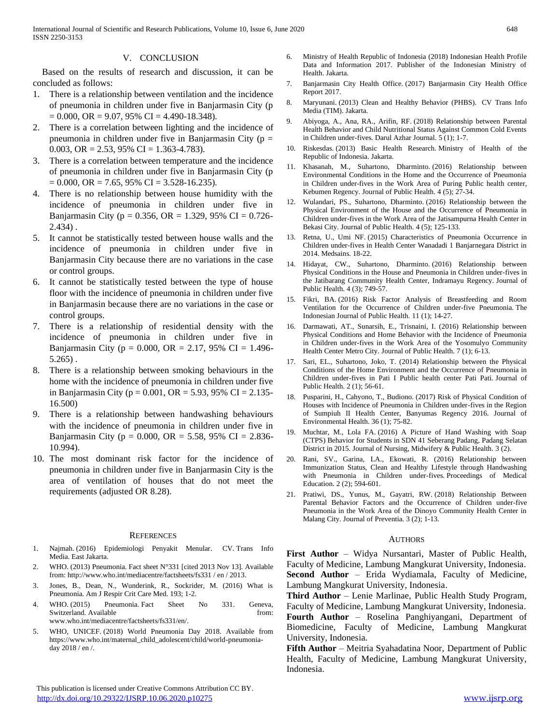## V. CONCLUSION

Based on the results of research and discussion, it can be concluded as follows:

- 1. There is a relationship between ventilation and the incidence of pneumonia in children under five in Banjarmasin City (p  $= 0.000$ , OR  $= 9.07$ , 95% CI  $= 4.490 - 18.348$ .
- 2. There is a correlation between lighting and the incidence of pneumonia in children under five in Banjarmasin City ( $p =$ 0.003, OR =  $2.53$ ,  $95\%$  CI = 1.363-4.783).
- 3. There is a correlation between temperature and the incidence of pneumonia in children under five in Banjarmasin City (p  $= 0.000$ , OR  $= 7.65$ , 95% CI  $= 3.528 - 16.235$ ).
- 4. There is no relationship between house humidity with the incidence of pneumonia in children under five in Banjarmasin City ( $p = 0.356$ , OR = 1.329, 95% CI = 0.726-2.434) .
- 5. It cannot be statistically tested between house walls and the incidence of pneumonia in children under five in Banjarmasin City because there are no variations in the case or control groups.
- 6. It cannot be statistically tested between the type of house floor with the incidence of pneumonia in children under five in Banjarmasin because there are no variations in the case or control groups.
- 7. There is a relationship of residential density with the incidence of pneumonia in children under five in Banjarmasin City ( $p = 0.000$ , OR = 2.17, 95% CI = 1.496-5.265) .
- 8. There is a relationship between smoking behaviours in the home with the incidence of pneumonia in children under five in Banjarmasin City ( $p = 0.001$ , OR = 5.93, 95% CI = 2.135-16.500)
- 9. There is a relationship between handwashing behaviours with the incidence of pneumonia in children under five in Banjarmasin City ( $p = 0.000$ , OR = 5.58, 95% CI = 2.836-10.994).
- 10. The most dominant risk factor for the incidence of pneumonia in children under five in Banjarmasin City is the area of ventilation of houses that do not meet the requirements (adjusted OR 8.28).

#### **REFERENCES**

- 1. Najmah. (2016) Epidemiologi Penyakit Menular. CV. Trans Info Media. East Jakarta.
- 2. WHO. (2013) Pneumonia. Fact sheet N°331 [cited 2013 Nov 13]. Available from: http://www.who.int/mediacentre/factsheets/fs331 / en / 2013.
- 3. Jones, B., Dean, N., Wunderink, R., Sockrider, M. (2016) What is Pneumonia. Am J Respir Crit Care Med. 193; 1-2.
- 4. WHO. (2015) Pneumonia. Fact Sheet No 331. Geneva, Switzerland. Available from: www.who.int/mediacentre/factsheets/fs331/en/.
- 5. WHO, UNICEF. (2018) World Pneumonia Day 2018. Available from https://www.who.int/maternal\_child\_adolescent/child/world-pneumoniaday 2018 / en /.
- 6. Ministry of Health Republic of Indonesia (2018) Indonesian Health Profile Data and Information 2017. Publisher of the Indonesian Ministry of Health. Jakarta.
- 7. Banjarmasin City Health Office. (2017) Banjarmasin City Health Office Report 2017.
- 8. Maryunani. (2013) Clean and Healthy Behavior (PHBS). CV Trans Info Media (TIM). Jakarta.
- 9. Abiyoga, A., Ana, RA., Arifin, RF. (2018) Relationship between Parental Health Behavior and Child Nutritional Status Against Common Cold Events in Children under-fives. Darul Azhar Journal. 5 (1); 1-7.
- 10. Riskesdas. (2013) Basic Health Research. Ministry of Health of the Republic of Indonesia. Jakarta.
- 11. Khasanah, M., Suhartono, Dharminto. (2016) Relationship between Environmental Conditions in the Home and the Occurrence of Pneumonia in Children under-fives in the Work Area of Puring Public health center, Kebumen Regency. Journal of Public Health. 4 (5); 27-34.
- 12. Wulandari, PS., Suhartono, Dharminto. (2016) Relationship between the Physical Environment of the House and the Occurrence of Pneumonia in Children under-fives in the Work Area of the Jatisampurna Health Center in Bekasi City. Journal of Public Health. 4 (5); 125-133.
- 13. Retna, U., Umi NF. (2015) Characteristics of Pneumonia Occurrence in Children under-fives in Health Center Wanadadi 1 Banjarnegara District in 2014. Medsains. 18-22.
- 14. Hidayat, CW., Suhartono, Dharminto. (2016) Relationship between Physical Conditions in the House and Pneumonia in Children under-fives in the Jatibarang Community Health Center, Indramayu Regency. Journal of Public Health. 4 (3); 749-57.
- 15. Fikri, BA. (2016) Risk Factor Analysis of Breastfeeding and Room Ventilation for the Occurrence of Children under-five Pneumonia. The Indonesian Journal of Public Health. 11 (1); 14-27.
- 16. Darmawati, AT., Sunarsih, E., Trisnaini, I. (2016) Relationship between Physical Conditions and Home Behavior with the Incidence of Pneumonia in Children under-fives in the Work Area of the Yosomulyo Community Health Center Metro City. Journal of Public Health. 7 (1); 6-13.
- 17. Sari, EL., Suhartono, Joko, T. (2014) Relationship between the Physical Conditions of the Home Environment and the Occurrence of Pneumonia in Children under-fives in Pati I Public health center Pati Pati. Journal of Public Health. 2 (1); 56-61.
- 18. Pusparini, H., Cahyono, T., Budiono. (2017) Risk of Physical Condition of Houses with Incidence of Pneumonia in Children under-fives in the Region of Sumpiuh II Health Center, Banyumas Regency 2016. Journal of Environmental Health. 36 (1); 75-82.
- 19. Muchtar, M., Lola FA. (2016) A Picture of Hand Washing with Soap (CTPS) Behavior for Students in SDN 41 Seberang Padang, Padang Selatan District in 2015. Journal of Nursing, Midwifery & Public Health. 3 (2).
- 20. Rani, SV., Garina, LA., Ekowati, R. (2016) Relationship between Immunization Status, Clean and Healthy Lifestyle through Handwashing with Pneumonia in Children under-fives. Proceedings of Medical Education. 2 (2); 594-601.
- 21. Pratiwi, DS., Yunus, M., Gayatri, RW. (2018) Relationship Between Parental Behavior Factors and the Occurrence of Children under-five Pneumonia in the Work Area of the Dinoyo Community Health Center in Malang City. Journal of Preventia. 3 (2); 1-13.

#### AUTHORS

**First Author** – Widya Nursantari, Master of Public Health, Faculty of Medicine, Lambung Mangkurat University, Indonesia. **Second Author** – Erida Wydiamala, Faculty of Medicine, Lambung Mangkurat University, Indonesia.

**Third Author** – Lenie Marlinae, Public Health Study Program, Faculty of Medicine, Lambung Mangkurat University, Indonesia. **Fourth Author** – Roselina Panghiyangani, Department of Biomedicine, Faculty of Medicine, Lambung Mangkurat University, Indonesia.

**Fifth Author** – Meitria Syahadatina Noor, Department of Public Health, Faculty of Medicine, Lambung Mangkurat University, Indonesia.